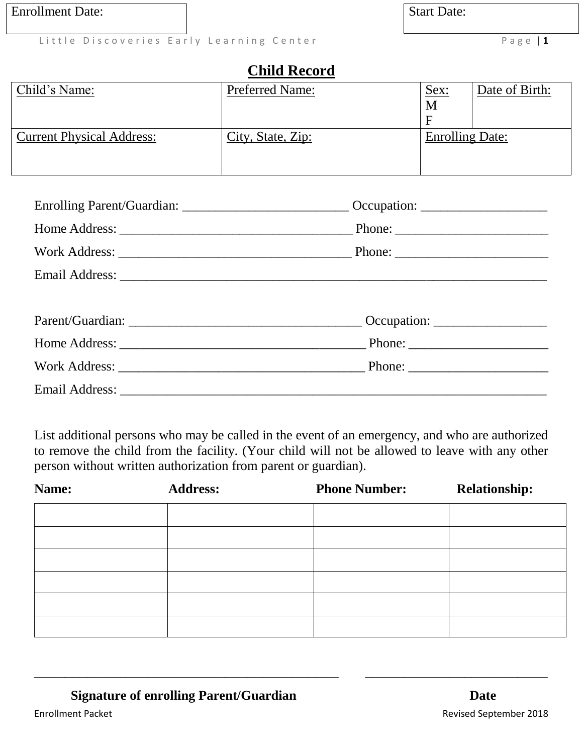**Start Date:** 

Little Discoveries Early Learning Center **Example 2018** Page | 1

### **Child Record**

| Child's Name:             | <b>Preferred Name:</b> | <u>Sex:</u>     | Date of Birth: |
|---------------------------|------------------------|-----------------|----------------|
|                           |                        | M               |                |
|                           |                        | F               |                |
| Current Physical Address: | City, State, Zip:      | Enrolling Date: |                |
|                           |                        |                 |                |
|                           |                        |                 |                |

| Enrolling Parent/Guardian: __________________________________Occupation: ___________________________ |  |
|------------------------------------------------------------------------------------------------------|--|
|                                                                                                      |  |
|                                                                                                      |  |
|                                                                                                      |  |
|                                                                                                      |  |
|                                                                                                      |  |
|                                                                                                      |  |
|                                                                                                      |  |
|                                                                                                      |  |

List additional persons who may be called in the event of an emergency, and who are authorized to remove the child from the facility. (Your child will not be allowed to leave with any other person without written authorization from parent or guardian).

| Name: | <b>Address:</b> | <b>Phone Number:</b> | <b>Relationship:</b> |
|-------|-----------------|----------------------|----------------------|
|       |                 |                      |                      |
|       |                 |                      |                      |
|       |                 |                      |                      |
|       |                 |                      |                      |
|       |                 |                      |                      |
|       |                 |                      |                      |

\_\_\_\_\_\_\_\_\_\_\_\_\_\_\_\_\_\_\_\_\_\_\_\_\_\_\_\_\_\_\_\_\_\_\_\_\_\_\_\_ \_\_\_\_\_\_\_\_\_\_\_\_\_\_\_\_\_\_\_\_\_\_\_\_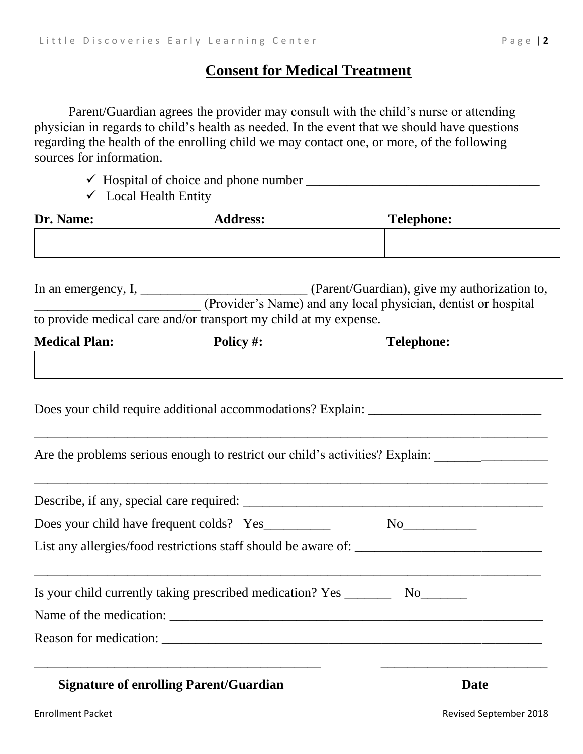#### **Consent for Medical Treatment**

Parent/Guardian agrees the provider may consult with the child's nurse or attending physician in regards to child's health as needed. In the event that we should have questions regarding the health of the enrolling child we may contact one, or more, of the following sources for information.

- Hospital of choice and phone number \_\_\_\_\_\_\_\_\_\_\_\_\_\_\_\_\_\_\_\_\_\_\_\_\_\_\_\_\_\_\_\_\_\_\_
- $\checkmark$  Local Health Entity

| Dr. Name: | <b>Address:</b> | <b>Telephone:</b> |
|-----------|-----------------|-------------------|
|           |                 |                   |

| In an emergency, $I_{1}$ | (Parent/Guardian), give my authorization to,                     |
|--------------------------|------------------------------------------------------------------|
|                          | (Provider's Name) and any local physician, dentist or hospital   |
|                          | to provide medical care and/or transport my child at my expense. |

| <b>Medical Plan:</b> | Policy #: | <b>Telephone:</b> |
|----------------------|-----------|-------------------|
|                      |           |                   |

Does your child require additional accommodations? Explain: \_\_\_\_\_\_\_\_\_\_\_\_\_\_\_\_\_\_\_\_\_

Are the problems serious enough to restrict our child's activities? Explain: \_\_\_\_\_\_\_\_\_\_\_\_\_\_\_\_\_\_\_\_\_\_\_\_\_\_\_\_\_\_\_\_\_

\_\_\_\_\_\_\_\_\_\_\_\_\_\_\_\_\_\_\_\_\_\_\_\_\_\_\_\_\_\_\_\_\_\_\_\_\_\_\_\_\_\_\_\_\_\_\_\_\_\_\_\_\_\_\_\_\_\_\_\_\_\_\_\_\_\_\_\_\_\_\_\_\_\_\_\_\_

\_\_\_\_\_\_\_\_\_\_\_\_\_\_\_\_\_\_\_\_\_\_\_\_\_\_\_\_\_\_\_\_\_\_\_\_\_\_\_\_\_\_\_\_\_\_\_\_\_\_\_\_\_\_\_\_\_\_\_\_\_\_\_\_\_\_\_\_\_\_\_\_\_\_\_\_\_

| Is your child currently taking prescribed medication? Yes ___________ No________ |      |  |
|----------------------------------------------------------------------------------|------|--|
|                                                                                  |      |  |
|                                                                                  |      |  |
|                                                                                  |      |  |
| <b>Signature of enrolling Parent/Guardian</b>                                    | Date |  |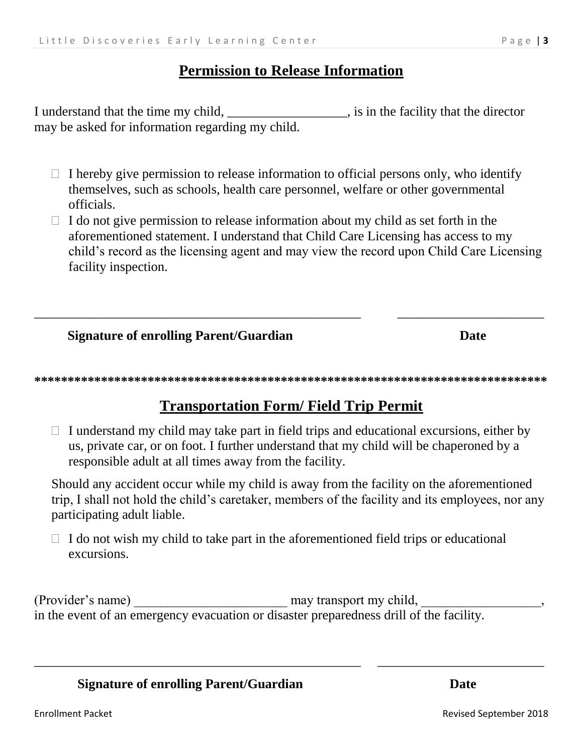#### **Permission to Release Information**

I understand that the time my child, \_\_\_\_\_\_\_\_\_\_\_\_\_\_\_\_\_, is in the facility that the director may be asked for information regarding my child.

- $\Box$  I hereby give permission to release information to official persons only, who identify themselves, such as schools, health care personnel, welfare or other governmental officials.
- $\Box$  I do not give permission to release information about my child as set forth in the aforementioned statement. I understand that Child Care Licensing has access to my child's record as the licensing agent and may view the record upon Child Care Licensing facility inspection.

#### **Signature of enrolling Parent/Guardian Date**

**\*\*\*\*\*\*\*\*\*\*\*\*\*\*\*\*\*\*\*\*\*\*\*\*\*\*\*\*\*\*\*\*\*\*\*\*\*\*\*\*\*\*\*\*\*\*\*\*\*\*\*\*\*\*\*\*\*\*\*\*\*\*\*\*\*\*\*\*\*\*\*\*\*\*\*\*\***

\_\_\_\_\_\_\_\_\_\_\_\_\_\_\_\_\_\_\_\_\_\_\_\_\_\_\_\_\_\_\_\_\_\_\_\_\_\_\_\_\_\_\_\_\_\_\_\_\_ \_\_\_\_\_\_\_\_\_\_\_\_\_\_\_\_\_\_\_\_\_\_

### **Transportation Form/ Field Trip Permit**

 $\Box$  I understand my child may take part in field trips and educational excursions, either by us, private car, or on foot. I further understand that my child will be chaperoned by a responsible adult at all times away from the facility.

Should any accident occur while my child is away from the facility on the aforementioned trip, I shall not hold the child's caretaker, members of the facility and its employees, nor any participating adult liable.

 $\Box$  I do not wish my child to take part in the aforementioned field trips or educational excursions.

(Provider's name) \_\_\_\_\_\_\_\_\_\_\_\_\_\_\_\_\_\_\_\_\_\_\_ may transport my child, \_\_\_\_\_\_\_\_\_\_\_\_\_\_\_\_\_\_, in the event of an emergency evacuation or disaster preparedness drill of the facility.

\_\_\_\_\_\_\_\_\_\_\_\_\_\_\_\_\_\_\_\_\_\_\_\_\_\_\_\_\_\_\_\_\_\_\_\_\_\_\_\_\_\_\_\_\_\_\_\_\_ \_\_\_\_\_\_\_\_\_\_\_\_\_\_\_\_\_\_\_\_\_\_\_\_\_

#### **Signature of enrolling Parent/Guardian Date**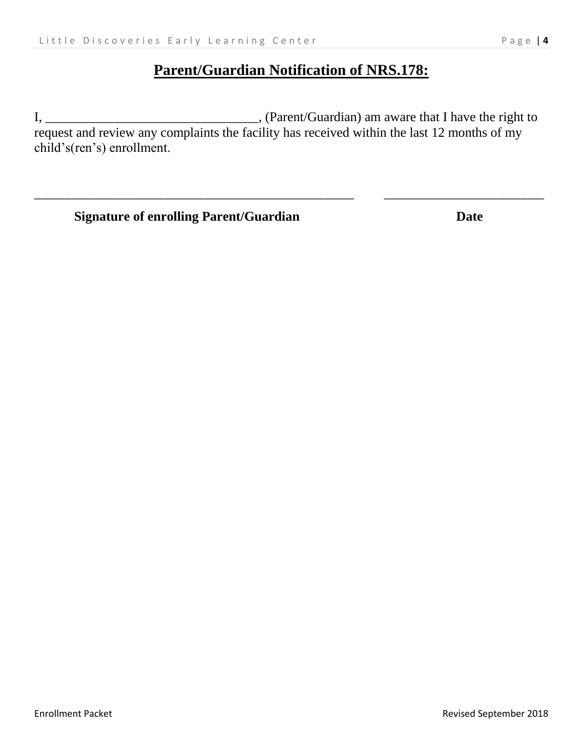### **Parent/Guardian Notification of NRS.178:**

I, \_\_\_\_\_\_\_\_\_\_\_\_\_\_\_\_\_\_\_\_\_\_\_\_\_\_\_\_\_\_\_\_, (Parent/Guardian) am aware that I have the right to request and review any complaints the facility has received within the last 12 months of my child's(ren's) enrollment.

\_\_\_\_\_\_\_\_\_\_\_\_\_\_\_\_\_\_\_\_\_\_\_\_\_\_\_\_\_\_\_\_\_\_\_\_\_\_\_\_\_\_\_\_\_\_\_\_ \_\_\_\_\_\_\_\_\_\_\_\_\_\_\_\_\_\_\_\_\_\_\_\_

**Signature of enrolling Parent/Guardian Date**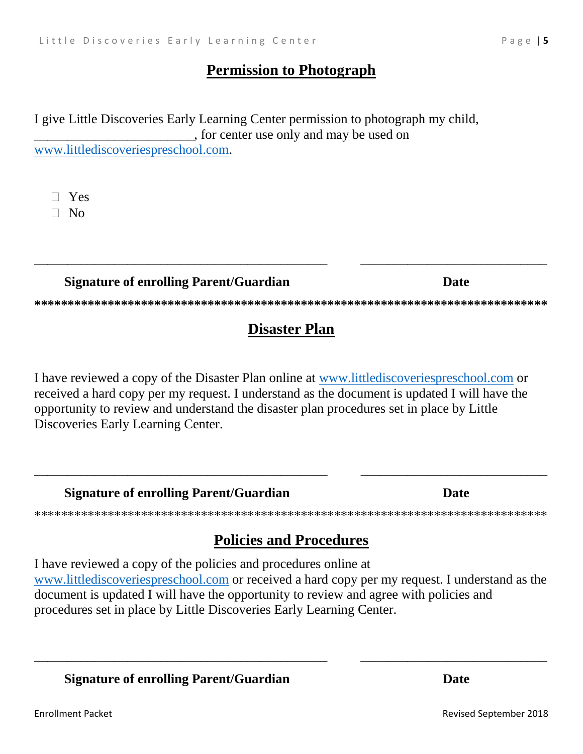#### **Permission to Photograph**

I give Little Discoveries Early Learning Center permission to photograph my child, , for center use only and may be used on www.littlediscoveriespreschool.com.

 $\Box$  Yes

 $\Box$  No

### **Signature of enrolling Parent/Guardian**

# **Disaster Plan**

I have reviewed a copy of the Disaster Plan online at www.littlediscoveriespreschool.com or received a hard copy per my request. I understand as the document is updated I will have the opportunity to review and understand the disaster plan procedures set in place by Little Discoveries Early Learning Center.

**Signature of enrolling Parent/Guardian** 

## **Policies and Procedures**

I have reviewed a copy of the policies and procedures online at www.littlediscoveriespreschool.com or received a hard copy per my request. I understand as the document is updated I will have the opportunity to review and agree with policies and procedures set in place by Little Discoveries Early Learning Center.

**Signature of enrolling Parent/Guardian** 

**Date** 

**Date** 

**Date**